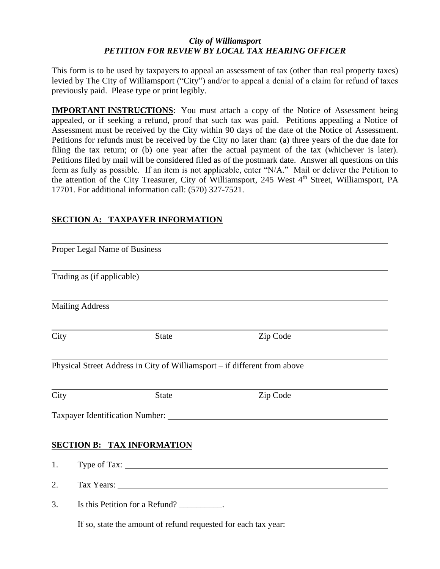### *City of Williamsport PETITION FOR REVIEW BY LOCAL TAX HEARING OFFICER*

This form is to be used by taxpayers to appeal an assessment of tax (other than real property taxes) levied by The City of Williamsport ("City") and/or to appeal a denial of a claim for refund of taxes previously paid. Please type or print legibly.

**IMPORTANT INSTRUCTIONS:** You must attach a copy of the Notice of Assessment being appealed, or if seeking a refund, proof that such tax was paid. Petitions appealing a Notice of Assessment must be received by the City within 90 days of the date of the Notice of Assessment. Petitions for refunds must be received by the City no later than: (a) three years of the due date for filing the tax return; or (b) one year after the actual payment of the tax (whichever is later). Petitions filed by mail will be considered filed as of the postmark date. Answer all questions on this form as fully as possible. If an item is not applicable, enter "N/A." Mail or deliver the Petition to the attention of the City Treasurer, City of Williamsport, 245 West 4<sup>th</sup> Street, Williamsport, PA 17701. For additional information call: (570) 327-7521.

## **SECTION A: TAXPAYER INFORMATION**

|      | Proper Legal Name of Business              |              |                                                                                                                                                                                                                                |  |
|------|--------------------------------------------|--------------|--------------------------------------------------------------------------------------------------------------------------------------------------------------------------------------------------------------------------------|--|
|      | Trading as (if applicable)                 |              |                                                                                                                                                                                                                                |  |
|      | <b>Mailing Address</b>                     |              |                                                                                                                                                                                                                                |  |
| City |                                            | <b>State</b> | Zip Code                                                                                                                                                                                                                       |  |
|      |                                            |              | Physical Street Address in City of Williamsport - if different from above                                                                                                                                                      |  |
| City |                                            | <b>State</b> | Zip Code                                                                                                                                                                                                                       |  |
|      |                                            |              | Taxpayer Identification Number: 2008 2010 2021 2022 2023 2024 2022 2023 2024 2022 2023 2024 2022 2023 2024 202                                                                                                                 |  |
|      | <b>SECTION B: TAX INFORMATION</b>          |              |                                                                                                                                                                                                                                |  |
| 1.   |                                            |              |                                                                                                                                                                                                                                |  |
| 2.   |                                            |              | Tax Years: 1988 and 2008 and 2008 and 2008 and 2008 and 2008 and 2008 and 2008 and 2008 and 2008 and 2008 and 2008 and 2008 and 2008 and 2008 and 2008 and 2008 and 2008 and 2008 and 2008 and 2008 and 2008 and 2008 and 2008 |  |
| 3.   | Is this Petition for a Refund? __________. |              |                                                                                                                                                                                                                                |  |
|      |                                            |              | If so, state the amount of refund requested for each tax year:                                                                                                                                                                 |  |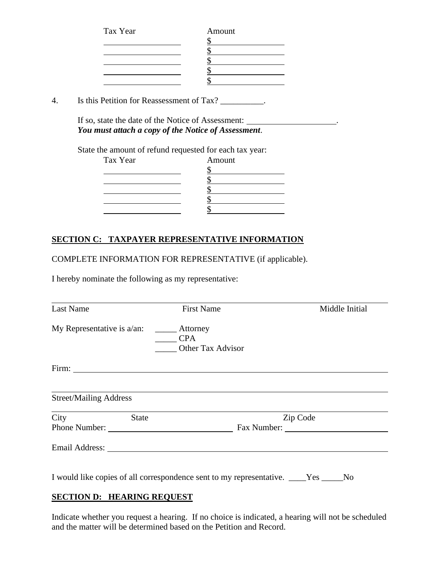| Tax Year | Amount |
|----------|--------|
|          |        |
|          |        |
|          |        |
|          |        |
|          |        |

4. Is this Petition for Reassessment of Tax? \_\_\_\_\_\_\_\_\_\_.

If so, state the date of the Notice of Assessment: . *You must attach a copy of the Notice of Assessment*.

State the amount of refund requested for each tax year:

| Tax Year | Amount |
|----------|--------|
|          |        |
|          |        |
|          |        |
|          |        |
|          |        |

# **SECTION C: TAXPAYER REPRESENTATIVE INFORMATION**

COMPLETE INFORMATION FOR REPRESENTATIVE (if applicable).

I hereby nominate the following as my representative:

| <b>Last Name</b>              | <b>First Name</b>                           | Middle Initial |  |  |
|-------------------------------|---------------------------------------------|----------------|--|--|
|                               | Attorney<br><b>CPA</b><br>Other Tax Advisor |                |  |  |
|                               |                                             |                |  |  |
| <b>Street/Mailing Address</b> |                                             |                |  |  |
| City<br><b>State</b>          |                                             | Zip Code       |  |  |
| Phone Number:                 |                                             | Fax Number:    |  |  |
|                               |                                             |                |  |  |

I would like copies of all correspondence sent to my representative. \_\_\_\_Yes \_\_\_\_\_No

#### **SECTION D: HEARING REQUEST**

Indicate whether you request a hearing. If no choice is indicated, a hearing will not be scheduled and the matter will be determined based on the Petition and Record.